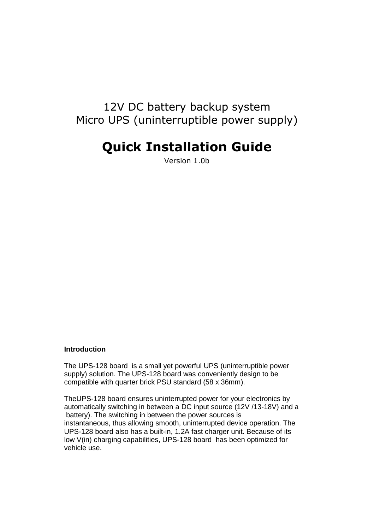# 12V DC battery backup system Micro UPS (uninterruptible power supply)

# **Quick Installation Guide**

Version 1.0b

#### **Introduction**

The UPS-128 board is a small yet powerful UPS (uninterruptible power supply) solution. The UPS-128 board was conveniently design to be compatible with quarter brick PSU standard (58 x 36mm).

TheUPS-128 board ensures uninterrupted power for your electronics by automatically switching in between a DC input source (12V /13-18V) and a battery). The switching in between the power sources is instantaneous, thus allowing smooth, uninterrupted device operation. The UPS-128 board also has a built-in, 1.2A fast charger unit. Because of its low V(in) charging capabilities, UPS-128 board has been optimized for vehicle use.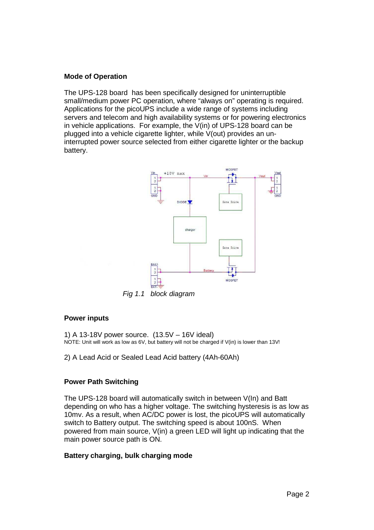# **Mode of Operation**

The UPS-128 board has been specifically designed for uninterruptible small/medium power PC operation, where "always on" operating is required. Applications for the picoUPS include a wide range of systems including servers and telecom and high availability systems or for powering electronics in vehicle applications. For example, the V(in) of UPS-128 board can be plugged into a vehicle cigarette lighter, while V(out) provides an uninterrupted power source selected from either cigarette lighter or the backup battery.



Fig 1.1 block diagram

## **Power inputs**

1) A 13-18V power source. (13.5V – 16V ideal) NOTE: Unit will work as low as 6V, but battery will not be charged if V(in) is lower than 13V!

2) A Lead Acid or Sealed Lead Acid battery (4Ah-60Ah)

# **Power Path Switching**

The UPS-128 board will automatically switch in between V(In) and Batt depending on who has a higher voltage. The switching hysteresis is as low as 10mv. As a result, when AC/DC power is lost, the picoUPS will automatically switch to Battery output. The switching speed is about 100nS. When powered from main source, V(in) a green LED will light up indicating that the main power source path is ON.

# **Battery charging, bulk charging mode**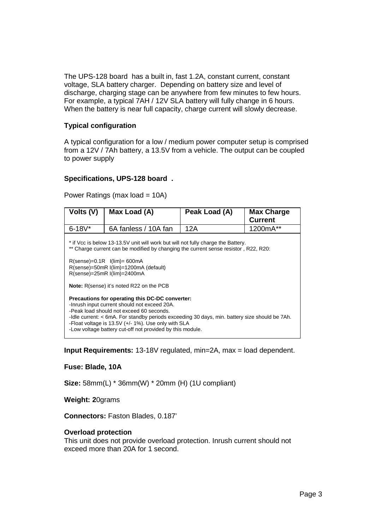The UPS-128 board has a built in, fast 1.2A, constant current, constant voltage, SLA battery charger. Depending on battery size and level of discharge, charging stage can be anywhere from few minutes to few hours. For example, a typical 7AH / 12V SLA battery will fully change in 6 hours. When the battery is near full capacity, charge current will slowly decrease.

# **Typical configuration**

A typical configuration for a low / medium power computer setup is comprised from a 12V / 7Ah battery, a 13.5V from a vehicle. The output can be coupled to power supply

## **Specifications, UPS-128 board .**

| Volts (V)                                                                                                                                                                                                                                                                                                                                                        | Max Load (A)         | Peak Load (A) | <b>Max Charge</b><br>Current |
|------------------------------------------------------------------------------------------------------------------------------------------------------------------------------------------------------------------------------------------------------------------------------------------------------------------------------------------------------------------|----------------------|---------------|------------------------------|
| $6 - 18V^*$                                                                                                                                                                                                                                                                                                                                                      | 6A fanless / 10A fan | 12A           | 1200mA**                     |
| * if Vcc is below 13-13.5V unit will work but will not fully charge the Battery.<br>** Charge current can be modified by changing the current sense resistor, R22, R20:<br>$R(sense)=0.1R$ $I(lim)=600mA$<br>R(sense)=50mR I(lim)=1200mA (default)<br>R(sense)=25mR I(lim)=2400mA                                                                                |                      |               |                              |
| <b>Note:</b> R(sense) it's noted R22 on the PCB                                                                                                                                                                                                                                                                                                                  |                      |               |                              |
| Precautions for operating this DC-DC converter:<br>-Inrush input current should not exceed 20A.<br>-Peak load should not exceed 60 seconds.<br>-Idle current: < 6mA. For standby periods exceeding 30 days, min. battery size should be 7Ah.<br>-Float voltage is 13.5V (+/- 1%). Use only with SLA<br>-Low voltage battery cut-off not provided by this module. |                      |               |                              |

Power Ratings (max load = 10A)

**Input Requirements:** 13-18V regulated, min=2A, max = load dependent.

# **Fuse: Blade, 10A**

**Size:** 58mm(L) \* 36mm(W) \* 20mm (H) (1U compliant)

**Weight: 2**0grams

**Connectors:** Faston Blades, 0.187'

#### **Overload protection**

This unit does not provide overload protection. Inrush current should not exceed more than 20A for 1 second.